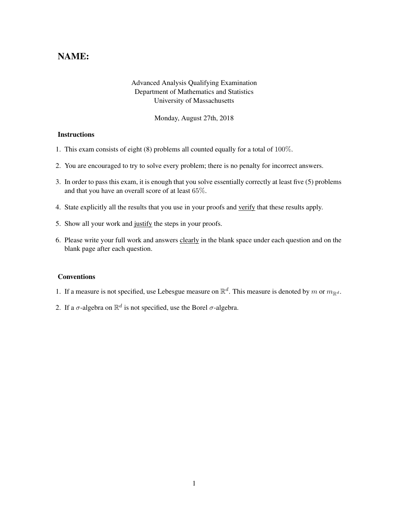## NAME:

## Advanced Analysis Qualifying Examination Department of Mathematics and Statistics University of Massachusetts

Monday, August 27th, 2018

## **Instructions**

- 1. This exam consists of eight (8) problems all counted equally for a total of 100%.
- 2. You are encouraged to try to solve every problem; there is no penalty for incorrect answers.
- 3. In order to pass this exam, it is enough that you solve essentially correctly at least five (5) problems and that you have an overall score of at least 65%.
- 4. State explicitly all the results that you use in your proofs and verify that these results apply.
- 5. Show all your work and justify the steps in your proofs.
- 6. Please write your full work and answers clearly in the blank space under each question and on the blank page after each question.

## **Conventions**

- 1. If a measure is not specified, use Lebesgue measure on  $\mathbb{R}^d$ . This measure is denoted by m or  $m_{\mathbb{R}^d}$ .
- 2. If a  $\sigma$ -algebra on  $\mathbb{R}^d$  is not specified, use the Borel  $\sigma$ -algebra.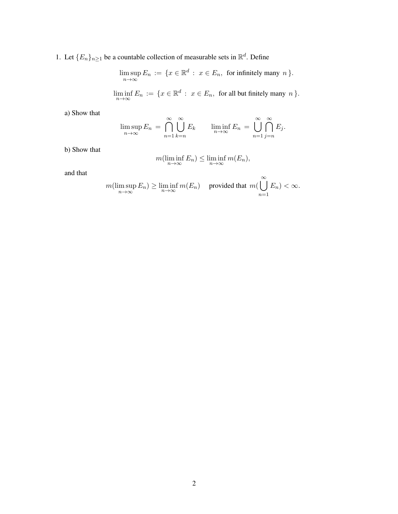1. Let  ${E_n}_{n\geq1}$  be a countable collection of measurable sets in  $\mathbb{R}^d$ . Define

$$
\limsup_{n \to \infty} E_n := \{ x \in \mathbb{R}^d : x \in E_n, \text{ for infinitely many } n \}.
$$

$$
\liminf_{n \to \infty} E_n := \{ x \in \mathbb{R}^d : x \in E_n, \text{ for all but finitely many } n \}.
$$

a) Show that

$$
\limsup_{n \to \infty} E_n = \bigcap_{n=1}^{\infty} \bigcup_{k=n}^{\infty} E_k \qquad \liminf_{n \to \infty} E_n = \bigcup_{n=1}^{\infty} \bigcap_{j=n}^{\infty} E_j.
$$

b) Show that

$$
m(\liminf_{n\to\infty} E_n) \le \liminf_{n\to\infty} m(E_n),
$$

and that

$$
m(\limsup_{n\to\infty} E_n) \ge \liminf_{n\to\infty} m(E_n) \quad \text{ provided that } m(\bigcup_{n=1}^{\infty} E_n) < \infty.
$$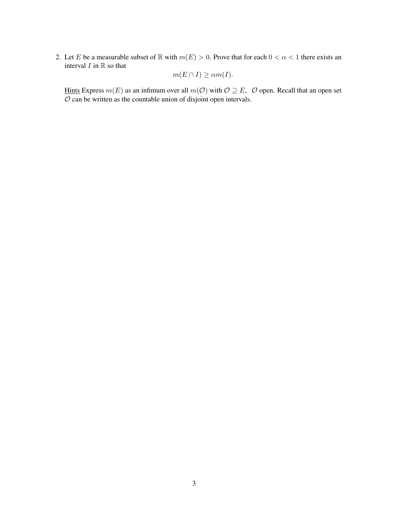2. Let E be a measurable subset of  $\mathbb R$  with  $m(E) > 0$ . Prove that for each  $0 < \alpha < 1$  there exists an interval  $I$  in  $\mathbb R$  so that

$$
m(E \cap I) \ge \alpha m(I).
$$

Hints Express  $m(E)$  as an infimum over all  $m(O)$  with  $O \supseteq E$ , O open. Recall that an open set  $O$  can be written as the countable union of disjoint open intervals.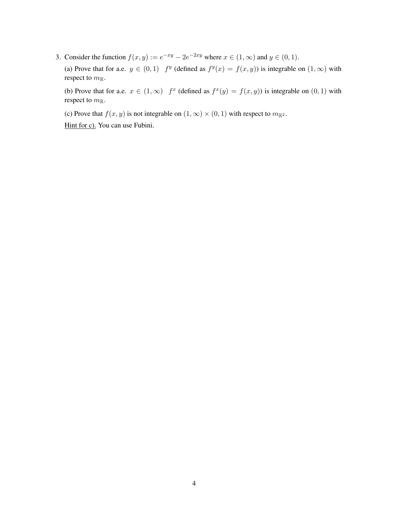3. Consider the function  $f(x, y) := e^{-xy} - 2e^{-2xy}$  where  $x \in (1, \infty)$  and  $y \in (0, 1)$ .

(a) Prove that for a.e.  $y \in (0,1)$   $f^y$  (defined as  $f^y(x) = f(x, y)$ ) is integrable on  $(1,\infty)$  with respect to  $m_{\mathbb{R}}$ .

(b) Prove that for a.e.  $x \in (1,\infty)$   $f^x$  (defined as  $f^x(y) = f(x, y)$ ) is integrable on  $(0,1)$  with respect to  $m_{\mathbb{R}}$ .

(c) Prove that  $f(x, y)$  is not integrable on  $(1, \infty) \times (0, 1)$  with respect to  $m_{\mathbb{R}^2}$ .

Hint for c). You can use Fubini.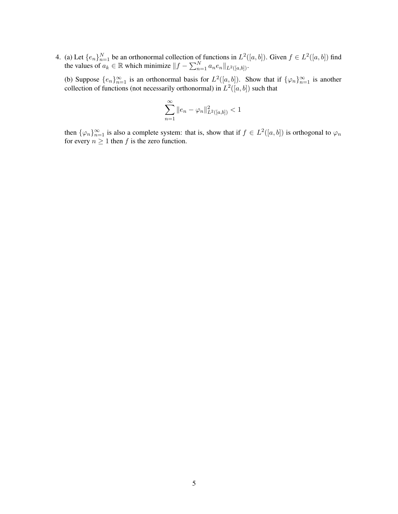4. (a) Let  $\{e_n\}_{n=1}^N$  be an orthonormal collection of functions in  $L^2([a, b])$ . Given  $f \in L^2([a, b])$  find the values of  $a_k \in \mathbb{R}$  which minimize  $||f - \sum_{n=1}^N a_n e_n||_{L^2([a,b])}$ .

(b) Suppose  $\{e_n\}_{n=1}^{\infty}$  is an orthonormal basis for  $L^2([a, b])$ . Show that if  $\{\varphi_n\}_{n=1}^{\infty}$  is another collection of functions (not necessarily orthonormal) in  $L^2([a, b])$  such that

$$
\sum_{n=1}^{\infty} \|e_n - \varphi_n\|_{L^2([a,b])}^2 < 1
$$

then  $\{\varphi_n\}_{n=1}^{\infty}$  is also a complete system: that is, show that if  $f \in L^2([a, b])$  is orthogonal to  $\varphi_n$ for every  $n \geq 1$  then f is the zero function.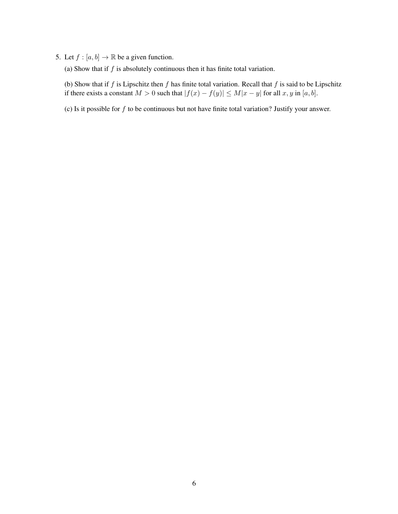- 5. Let  $f : [a, b] \to \mathbb{R}$  be a given function.
	- (a) Show that if  $f$  is absolutely continuous then it has finite total variation.

(b) Show that if  $f$  is Lipschitz then  $f$  has finite total variation. Recall that  $f$  is said to be Lipschitz if there exists a constant  $M > 0$  such that  $|f(x) - f(y)| \le M|x - y|$  for all  $x, y$  in  $[a, b]$ .

(c) Is it possible for  $f$  to be continuous but not have finite total variation? Justify your answer.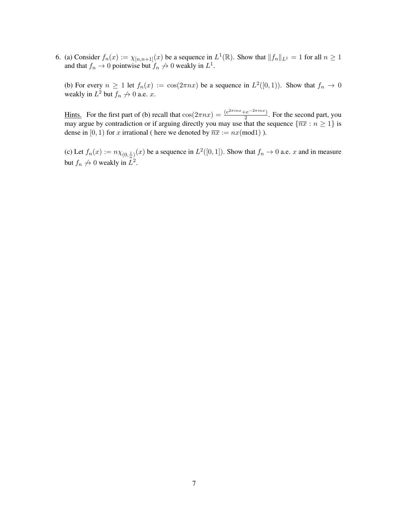6. (a) Consider  $f_n(x) := \chi_{[n,n+1]}(x)$  be a sequence in  $L^1(\mathbb{R})$ . Show that  $||f_n||_{L^1} = 1$  for all  $n \ge 1$ and that  $f_n \to 0$  pointwise but  $f_n \to 0$  weakly in  $L^1$ .

(b) For every  $n \ge 1$  let  $f_n(x) := \cos(2\pi nx)$  be a sequence in  $L^2([0,1))$ . Show that  $f_n \to 0$ weakly in  $L^2$  but  $f_n \nrightarrow 0$  a.e. x.

<u>Hints.</u> For the first part of (b) recall that  $cos(2\pi nx) = \frac{(e^{2\pi inx} + e^{-2\pi inx})}{2}$  $\frac{2}{2}$ . For the second part, you may argue by contradiction or if arguing directly you may use that the sequence  $\{\overline{nx} : n \geq 1\}$  is dense in [0, 1) for x irrational ( here we denoted by  $\overline{n}x := nx \text{(mod1)}$  ).

(c) Let  $f_n(x) := n \chi_{(0, \frac{1}{n})}(x)$  be a sequence in  $L^2([0, 1])$ . Show that  $f_n \to 0$  a.e. x and in measure but  $f_n \nrightarrow 0$  weakly in  $L^2$ .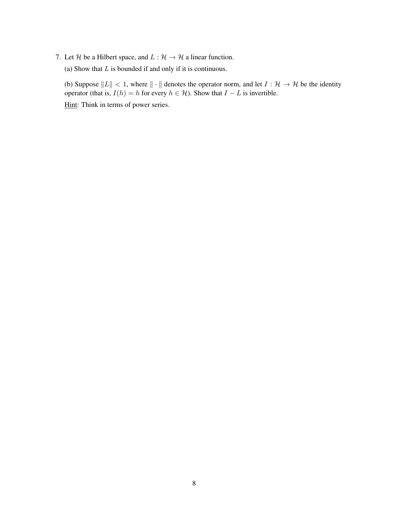- 7. Let H be a Hilbert space, and  $L : \mathcal{H} \to \mathcal{H}$  a linear function.
	- (a) Show that  $L$  is bounded if and only if it is continuous.

(b) Suppose  $||L|| < 1$ , where  $|| \cdot ||$  denotes the operator norm, and let  $I : \mathcal{H} \to \mathcal{H}$  be the identity operator (that is,  $I(h) = h$  for every  $h \in H$ ). Show that  $I - L$  is invertible.

Hint: Think in terms of power series.